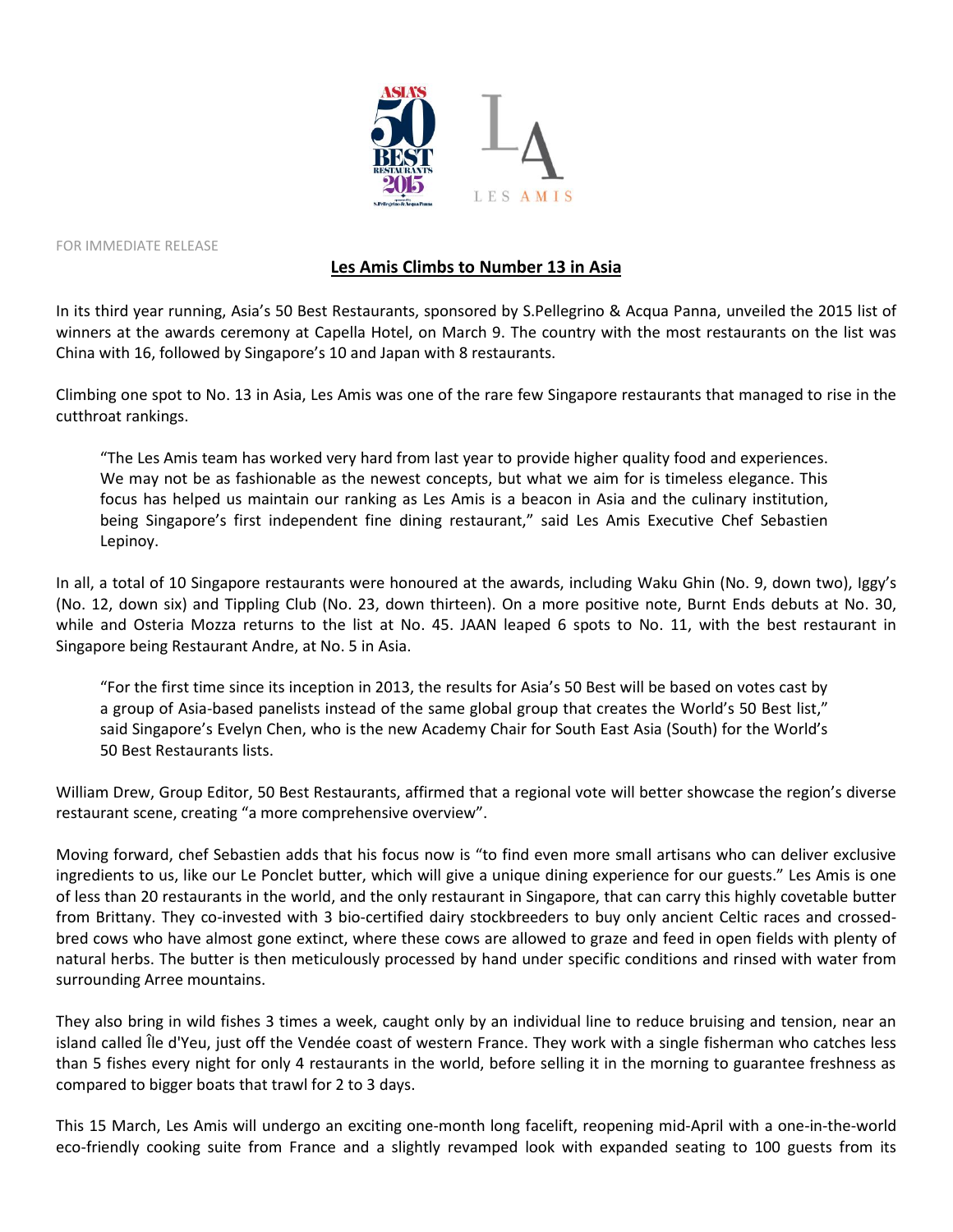

FOR IMMEDIATE RELEASE

## **Les Amis Climbs to Number 13 in Asia**

In its third year running, Asia's 50 Best Restaurants, sponsored by S.Pellegrino & Acqua Panna, unveiled the 2015 list of winners at the awards ceremony at Capella Hotel, on March 9. The country with the most restaurants on the list was China with 16, followed by Singapore's 10 and Japan with 8 restaurants.

Climbing one spot to No. 13 in Asia, Les Amis was one of the rare few Singapore restaurants that managed to rise in the cutthroat rankings.

"The Les Amis team has worked very hard from last year to provide higher quality food and experiences. We may not be as fashionable as the newest concepts, but what we aim for is timeless elegance. This focus has helped us maintain our ranking as Les Amis is a beacon in Asia and the culinary institution, being Singapore's first independent fine dining restaurant," said Les Amis Executive Chef Sebastien Lepinoy.

In all, a total of 10 Singapore restaurants were honoured at the awards, including Waku Ghin (No. 9, down two), Iggy's (No. 12, down six) and Tippling Club (No. 23, down thirteen). On a more positive note, Burnt Ends debuts at No. 30, while and Osteria Mozza returns to the list at No. 45. JAAN leaped 6 spots to No. 11, with the best restaurant in Singapore being Restaurant Andre, at No. 5 in Asia.

"For the first time since its inception in 2013, the results for Asia's 50 Best will be based on votes cast by a group of Asia-based panelists instead of the same global group that creates the World's 50 Best list," said Singapore's Evelyn Chen, who is the new Academy Chair for South East Asia (South) for the World's 50 Best Restaurants lists.

William Drew, Group Editor, 50 Best Restaurants, affirmed that a regional vote will better showcase the region's diverse restaurant scene, creating "a more comprehensive overview".

Moving forward, chef Sebastien adds that his focus now is "to find even more small artisans who can deliver exclusive ingredients to us, like our Le Ponclet butter, which will give a unique dining experience for our guests." Les Amis is one of less than 20 restaurants in the world, and the only restaurant in Singapore, that can carry this highly covetable butter from Brittany. They co-invested with 3 bio-certified dairy stockbreeders to buy only ancient Celtic races and crossedbred cows who have almost gone extinct, where these cows are allowed to graze and feed in open fields with plenty of natural herbs. The butter is then meticulously processed by hand under specific conditions and rinsed with water from surrounding Arree mountains.

They also bring in wild fishes 3 times a week, caught only by an individual line to reduce bruising and tension, near an island called Île d'Yeu, just off the Vendée coast of western France. They work with a single fisherman who catches less than 5 fishes every night for only 4 restaurants in the world, before selling it in the morning to guarantee freshness as compared to bigger boats that trawl for 2 to 3 days.

This 15 March, Les Amis will undergo an exciting one-month long facelift, reopening mid-April with a one-in-the-world eco-friendly cooking suite from France and a slightly revamped look with expanded seating to 100 guests from its